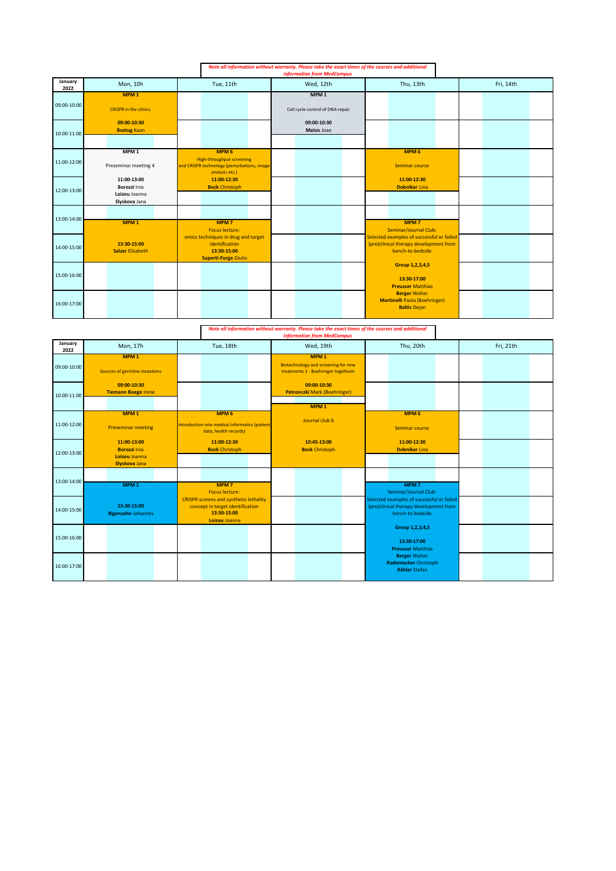|                 |                                                                      |                                                                                                                       | Note all information without warranty. Please take the exact times of the courses and additional<br><b>information from MedCampus</b> |                                                                                                         |           |
|-----------------|----------------------------------------------------------------------|-----------------------------------------------------------------------------------------------------------------------|---------------------------------------------------------------------------------------------------------------------------------------|---------------------------------------------------------------------------------------------------------|-----------|
| January<br>2022 | Mon, 10h                                                             | Tue, 11th                                                                                                             | Wed, 12th                                                                                                                             | Thu, 13th                                                                                               | Fri, 14th |
| 09:00-10:00     | MPM <sub>1</sub><br><b>CRISPR</b> in the clinics.                    |                                                                                                                       | MPM <sub>1</sub><br>Cell cycle control of DNA repair                                                                                  |                                                                                                         |           |
| 10:00-11:00     | 09:00-10:30<br><b>Boztug Kaan</b>                                    |                                                                                                                       | 09:00-10:30<br>Matos Joao                                                                                                             |                                                                                                         |           |
| 11:00-12:00     | MPM <sub>1</sub><br>Preseminar meeting 4                             | MPM <sub>6</sub><br><b>High-throughput screening</b><br>and CRISPR technology (perturbations, image<br>analysis etc.) |                                                                                                                                       | MPM <sub>6</sub><br>Seminar course                                                                      |           |
| 12:00-13:00     | 11:00-13:00<br><b>Borozzi Iros</b><br>Loizou Joanna<br>Slyskova Jana | 11:00-12:30<br><b>Bock Christoph</b>                                                                                  |                                                                                                                                       | 11:00-12:30<br><b>Dobnikar Lina</b>                                                                     |           |
| 13:00-14:00     | MPM <sub>1</sub>                                                     | <b>MPM7</b><br><b>Focus lecture:</b>                                                                                  |                                                                                                                                       | MPM <sub>7</sub><br><b>Seminar/Journal Club:</b>                                                        |           |
| 14:00-15:00     | 13:30-15:00<br><b>Salzer Elisabeth</b>                               | omics techniques in drug and target<br>identification<br>13:30-15:00<br>Superti-Furga Giulio                          |                                                                                                                                       | Selected examples of successful or failed<br>(pre)clinical therapy development from<br>bench-to-bedside |           |
| 15:00-16:00     |                                                                      |                                                                                                                       |                                                                                                                                       | Group 1,2,3,4,5<br>13:30-17:00<br><b>Preusser Matthias</b>                                              |           |
| 16:00-17:00     |                                                                      |                                                                                                                       |                                                                                                                                       | <b>Berger Walter</b><br><b>Martinelli Paola (Boehringer)</b><br><b>Baltic Dejan</b>                     |           |

*Note all information without warranty. Please take the exact times of the courses and additional information from MedCampus*

|                 |                                                                      |                                                                                                                   | <b>information from MedCampus</b>                                                              |                                                                                                         |           |
|-----------------|----------------------------------------------------------------------|-------------------------------------------------------------------------------------------------------------------|------------------------------------------------------------------------------------------------|---------------------------------------------------------------------------------------------------------|-----------|
| January<br>2022 | Mon, 17h                                                             | Tue, 18th                                                                                                         | Wed, 19th                                                                                      | Thu, 20th                                                                                               | Fri, 21th |
| 09:00-10:00     | MPM <sub>1</sub><br>Sources of germline mutations                    |                                                                                                                   | MPM <sub>1</sub><br>Biotechnology and screening for new<br>treatments 1 - Boehringer Ingelheim |                                                                                                         |           |
| 10:00-11:00     | 09:00-10:30<br><b>Tiemann Boege Irene</b>                            |                                                                                                                   | 09:00-10:30<br><b>Petronczki Mark (Boehringer)</b><br>MPM <sub>1</sub>                         |                                                                                                         |           |
| 11:00-12:00     | MPM <sub>1</sub><br><b>Preseminar meeting</b>                        | MPM <sub>6</sub><br>Introduction into medical informatics (patient<br>data, health records)                       | Journal club 6                                                                                 | MPM <sub>6</sub><br>Seminar course                                                                      |           |
| 12:00-13:00     | 11:00-13:00<br><b>Borozzi Iros</b><br>Loizou Joanna<br>Slyskova Jana | 11:00-12:30<br><b>Bock Christoph</b>                                                                              | 10:45-13:00<br><b>Bock Christoph</b>                                                           | 11:00-12:30<br><b>Dobnikar Lina</b>                                                                     |           |
| 13:00-14:00     | MPM <sub>1</sub>                                                     | MPM <sub>7</sub><br><b>Focus lecture:</b>                                                                         |                                                                                                | MPM <sub>7</sub><br>Seminar/Journal Club:                                                               |           |
| 14:00-15:00     | 13:30-15:00<br><b>Bigenzahn Johannes</b>                             | <b>CRISPR screens and synthetic lethality</b><br>concept in target identification<br>13:30-15:00<br>Loizou Joanna |                                                                                                | Selected examples of successful or failed<br>(pre)clinical therapy development from<br>bench-to-bedside |           |
| 15:00-16:00     |                                                                      |                                                                                                                   |                                                                                                | Group 1,2,3,4,5<br>13:30-17:00<br><b>Preusser Matthias</b>                                              |           |
| 16:00-17:00     |                                                                      |                                                                                                                   |                                                                                                | <b>Berger Walter</b><br><b>Rademacher Christoph</b><br><b>Kähler Stefan</b>                             |           |